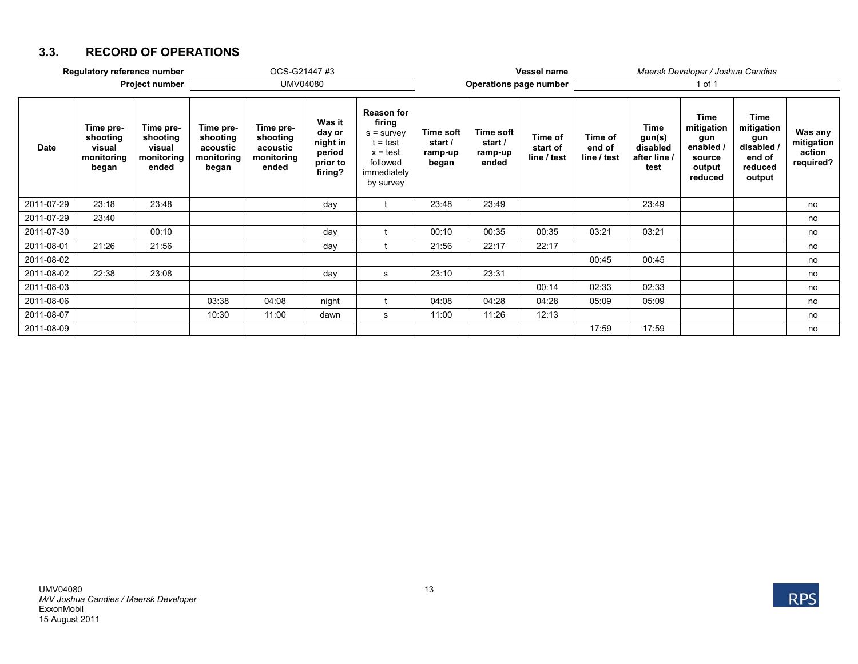## **3.3. RECORD OF OPERATIONS**

| Regulatory reference number |                                                        |                                                        |                                                          | OCS-G21447 #3                                            |                                                               |                                                                                                                 | Vessel name                              |                                          |                                    | Maersk Developer / Joshua Candies |                                                         |                                                                              |                                                                        |                                              |  |
|-----------------------------|--------------------------------------------------------|--------------------------------------------------------|----------------------------------------------------------|----------------------------------------------------------|---------------------------------------------------------------|-----------------------------------------------------------------------------------------------------------------|------------------------------------------|------------------------------------------|------------------------------------|-----------------------------------|---------------------------------------------------------|------------------------------------------------------------------------------|------------------------------------------------------------------------|----------------------------------------------|--|
| <b>Project number</b>       |                                                        |                                                        | UMV04080                                                 |                                                          |                                                               |                                                                                                                 | <b>Operations page number</b>            |                                          |                                    | 1 of 1                            |                                                         |                                                                              |                                                                        |                                              |  |
| <b>Date</b>                 | Time pre-<br>shooting<br>visual<br>monitoring<br>began | Time pre-<br>shooting<br>visual<br>monitoring<br>ended | Time pre-<br>shooting<br>acoustic<br>monitoring<br>began | Time pre-<br>shooting<br>acoustic<br>monitoring<br>ended | Was it<br>day or<br>night in<br>period<br>prior to<br>firing? | <b>Reason for</b><br>firing<br>$s =$ survey<br>$t = test$<br>$x = test$<br>followed<br>immediately<br>by survey | Time soft<br>start /<br>ramp-up<br>began | Time soft<br>start /<br>ramp-up<br>ended | Time of<br>start of<br>line / test | Time of<br>end of<br>line / test  | <b>Time</b><br>gun(s)<br>disabled<br>after line<br>test | <b>Time</b><br>mitigation<br>gun<br>enabled /<br>source<br>output<br>reduced | Time<br>mitigation<br>gun<br>disabled /<br>end of<br>reduced<br>output | Was any<br>mitigation<br>action<br>required? |  |
| 2011-07-29                  | 23:18                                                  | 23:48                                                  |                                                          |                                                          | day                                                           |                                                                                                                 | 23:48                                    | 23:49                                    |                                    |                                   | 23:49                                                   |                                                                              |                                                                        | no                                           |  |
| 2011-07-29                  | 23:40                                                  |                                                        |                                                          |                                                          |                                                               |                                                                                                                 |                                          |                                          |                                    |                                   |                                                         |                                                                              |                                                                        | no                                           |  |
| 2011-07-30                  |                                                        | 00:10                                                  |                                                          |                                                          | day                                                           |                                                                                                                 | 00:10                                    | 00:35                                    | 00:35                              | 03:21                             | 03:21                                                   |                                                                              |                                                                        | no                                           |  |
| 2011-08-01                  | 21:26                                                  | 21:56                                                  |                                                          |                                                          | day                                                           |                                                                                                                 | 21:56                                    | 22:17                                    | 22:17                              |                                   |                                                         |                                                                              |                                                                        | no                                           |  |
| 2011-08-02                  |                                                        |                                                        |                                                          |                                                          |                                                               |                                                                                                                 |                                          |                                          |                                    | 00:45                             | 00:45                                                   |                                                                              |                                                                        | no                                           |  |
| 2011-08-02                  | 22:38                                                  | 23:08                                                  |                                                          |                                                          | day                                                           | s                                                                                                               | 23:10                                    | 23:31                                    |                                    |                                   |                                                         |                                                                              |                                                                        | no                                           |  |
| 2011-08-03                  |                                                        |                                                        |                                                          |                                                          |                                                               |                                                                                                                 |                                          |                                          | 00:14                              | 02:33                             | 02:33                                                   |                                                                              |                                                                        | no                                           |  |
| 2011-08-06                  |                                                        |                                                        | 03:38                                                    | 04:08                                                    | night                                                         |                                                                                                                 | 04:08                                    | 04:28                                    | 04:28                              | 05:09                             | 05:09                                                   |                                                                              |                                                                        | no                                           |  |
| 2011-08-07                  |                                                        |                                                        | 10:30                                                    | 11:00                                                    | dawn                                                          | s                                                                                                               | 11:00                                    | 11:26                                    | 12:13                              |                                   |                                                         |                                                                              |                                                                        | no                                           |  |
| 2011-08-09                  |                                                        |                                                        |                                                          |                                                          |                                                               |                                                                                                                 |                                          |                                          |                                    | 17:59                             | 17:59                                                   |                                                                              |                                                                        | no                                           |  |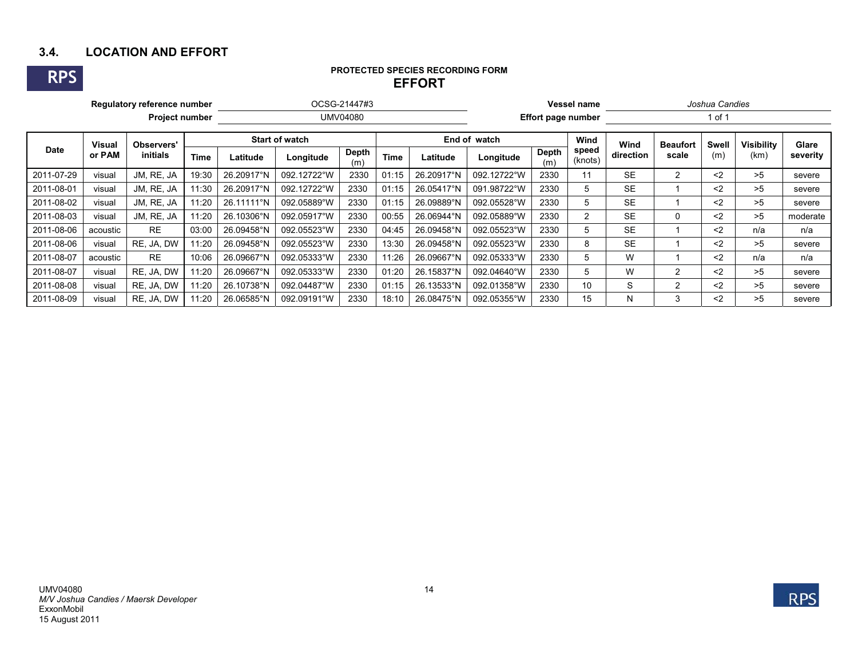# **3.4. LOCATION AND EFFORT**

**RPS**

#### **PROTECTED SPECIES RECORDING FORM EFFORT**

| Regulatory reference number |                         |                        |             |                       |             | Vessel name         | Joshua Candies |                           |              |              |                  |           |                 |              |            |          |
|-----------------------------|-------------------------|------------------------|-------------|-----------------------|-------------|---------------------|----------------|---------------------------|--------------|--------------|------------------|-----------|-----------------|--------------|------------|----------|
| <b>Project number</b>       |                         |                        | UMV04080    |                       |             |                     |                | <b>Effort page number</b> |              |              | 1 of 1           |           |                 |              |            |          |
| <b>Date</b>                 | <b>Visual</b><br>or PAM | Observers'<br>initials |             | <b>Start of watch</b> |             |                     |                |                           | End of watch |              | Wind             | Wind      | <b>Beaufort</b> | <b>Swell</b> | Visibilitv | Glare    |
|                             |                         |                        | <b>Time</b> | Latitude              | Longitude   | <b>Depth</b><br>(m) | <b>Time</b>    | Latitude                  | Longitude    | Depth<br>(m) | speed<br>(knots) | direction | scale           | (m)          | (km)       | severity |
| 2011-07-29                  | visual                  | JM, RE, JA             | 19:30       | 26.20917°N            | 092.12722°W | 2330                | 01:15          | 26.20917°N                | 092.12722°W  | 2330         |                  | <b>SE</b> | 2               | $2$          | >5         | severe   |
| 2011-08-01                  | visual                  | JM, RE, JA             | 11:30       | 26.20917°N            | 092.12722°W | 2330                | 01:15          | 26.05417°N                | 091.98722°W  | 2330         | $\mathbf b$      | <b>SE</b> |                 | $2$          | >5         | severe   |
| 2011-08-02                  | visual                  | JM, RE, JA             | 11:20       | 26.11111°N            | 092.05889°W | 2330                | 01:15          | 26.09889°N                | 092.05528°W  | 2330         | 5                | <b>SE</b> |                 | $2$          | >5         | severe   |
| 2011-08-03                  | visual                  | JM, RE, JA             | 11:20       | 26.10306°N            | 092.05917°W | 2330                | 00:55          | 26.06944°N                | 092.05889°W  | 2330         | $\overline{2}$   | <b>SE</b> | 0               | $<$ 2        | >5         | moderate |
| 2011-08-06                  | acoustic                | <b>RE</b>              | 03:00       | 26.09458°N            | 092.05523°W | 2330                | 04:45          | 26.09458°N                | 092.05523°W  | 2330         | 5                | <b>SE</b> |                 | $2$          | n/a        | n/a      |
| 2011-08-06                  | visual                  | RE. JA. DW             | 11:20       | 26.09458°N            | 092.05523°W | 2330                | 13:30          | 26.09458°N                | 092.05523°W  | 2330         | 8                | <b>SE</b> |                 | $<$ 2        | >5         | severe   |
| 2011-08-07                  | acoustic                | <b>RE</b>              | 10:06       | 26.09667°N            | 092.05333°W | 2330                | 11:26          | 26.09667°N                | 092.05333°W  | 2330         | <sub>5</sub>     | W         |                 | $2$          | n/a        | n/a      |
| 2011-08-07                  | visual                  | RE. JA. DW             | 11:20       | 26.09667°N            | 092.05333°W | 2330                | 01:20          | 26.15837°N                | 092.04640°W  | 2330         | 5                | W         | 2               | $2$          | >5         | severe   |
| 2011-08-08                  | visual                  | RE, JA, DW             | 11:20       | 26.10738°N            | 092.04487°W | 2330                | 01:15          | 26.13533°N                | 092.01358°W  | 2330         | 10               | S         | $\overline{c}$  | $2$          | >5         | severe   |
| 2011-08-09                  | visual                  | RE. JA. DW             | 11:20       | 26.06585°N            | 092.09191°W | 2330                | 18:10          | 26.08475°N                | 092.05355°W  | 2330         | 15               | Ν         | 3               | $2$          | >5         | severe   |